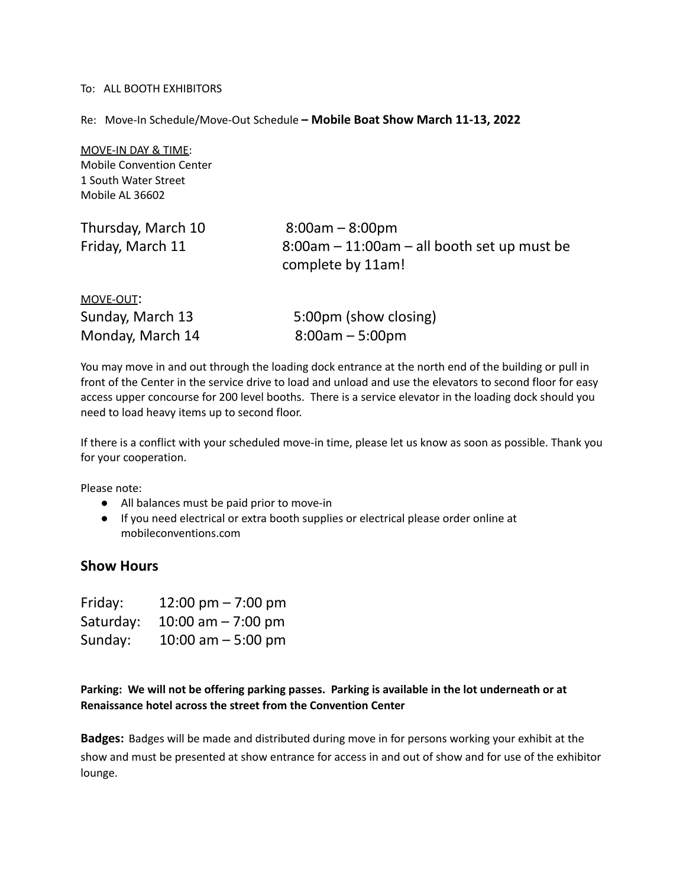## To: ALL BOOTH EXHIBITORS

Re: Move-In Schedule/Move-Out Schedule **– Mobile Boat Show March 11-13, 2022**

MOVE-IN DAY & TIME: Mobile Convention Center 1 South Water Street Mobile AL 36602

| Thursday, March 10 | $8:00am - 8:00pm$                                                   |
|--------------------|---------------------------------------------------------------------|
| Friday, March 11   | $8:00$ am – 11:00am – all booth set up must be<br>complete by 11am! |
| MOVE-OUT:          |                                                                     |
| Sunday, March 13   | 5:00pm (show closing)                                               |

| Monday, March 14 | $8:00am - 5:00pm$                                                                                         |
|------------------|-----------------------------------------------------------------------------------------------------------|
|                  | You may move in and out through the loading dock entrance at the north end of the building or pull in     |
|                  | front of the Center in the service drive to load and unload and use the elevators to second floor for eas |

oor for easy access upper concourse for 200 level booths. There is a service elevator in the loading dock should you need to load heavy items up to second floor.

If there is a conflict with your scheduled move-in time, please let us know as soon as possible. Thank you for your cooperation.

Please note:

- All balances must be paid prior to move-in
- If you need electrical or extra booth supplies or electrical please order online at mobileconventions.com

## **Show Hours**

| Friday:   | 12:00 pm $- 7:00$ pm |
|-----------|----------------------|
| Saturday: | 10:00 am $- 7:00$ pm |
| Sunday:   | 10:00 am $-$ 5:00 pm |

**Parking: We will not be offering parking passes. Parking is available in the lot underneath or at Renaissance hotel across the street from the Convention Center**

**Badges:** Badges will be made and distributed during move in for persons working your exhibit at the show and must be presented at show entrance for access in and out of show and for use of the exhibitor lounge.